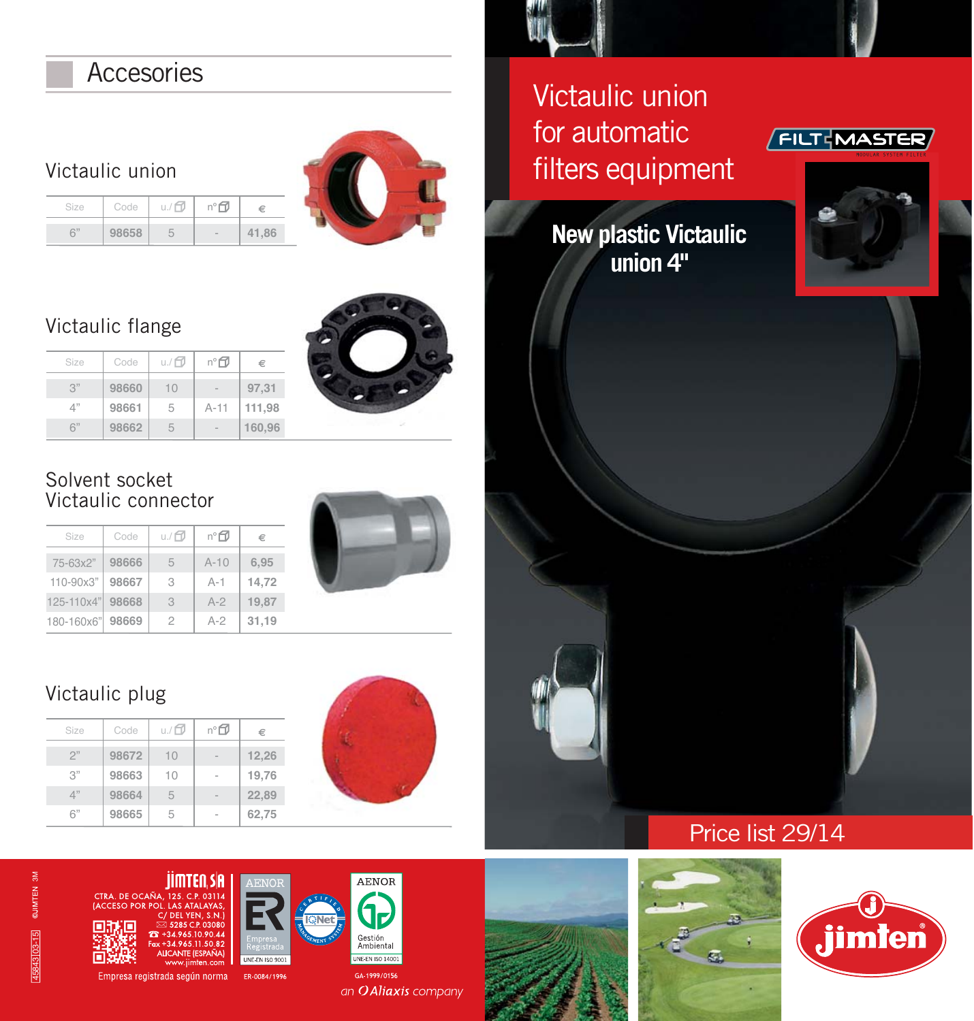## **Accesories**

Victaulic union

| Size |       | Code $\left  u \right  \oplus \left  n \right $ | €     |
|------|-------|-------------------------------------------------|-------|
| 6"   | 98658 | - 5                                             | 41.86 |



### Victaulic flange



3" 4" 6" Size **98660 98661 98662** 10 5 5 Code  $u$ ./ $\Box$ - A-11 nº **97,31 111,98 160,96 €**

### Solvent socket Victaulic connector

| Size       | Code  | u./f7 | n°∩    | €     |
|------------|-------|-------|--------|-------|
| 75-63x2"   | 98666 | 5     | $A-10$ | 6.95  |
| 110-90x3"  | 98667 | 3     | $A-1$  | 14,72 |
| 125-110x4" | 98668 | 3     | $A-2$  | 19.87 |
| 180-160x6" | 98669 | 2     | $A-2$  | 31,19 |

# Victaulic plug

| Size | Code  | u./ <b>□</b> | n°⊡ | €     |
|------|-------|--------------|-----|-------|
| 2"   | 98672 | 10           |     | 12,26 |
| 3"   | 98663 | 10           |     | 19,76 |
| 4"   | 98664 | 5            |     | 22,89 |
| 6"   | 98665 | 5            |     | 62,75 |



Victaulic union for automatic filters equipment

## **FILT**WASTER

**New plastic Victaulic union 4"**







**ALICANTE (ESPAÑA)** ten.cor

Empresa registrada según norma ER-0084/1996



JNE-EN ISO 900

AENOR **G** Gestión<br>Ambiental **UNE-EN ISO 14001** 

an O Aliaxis company